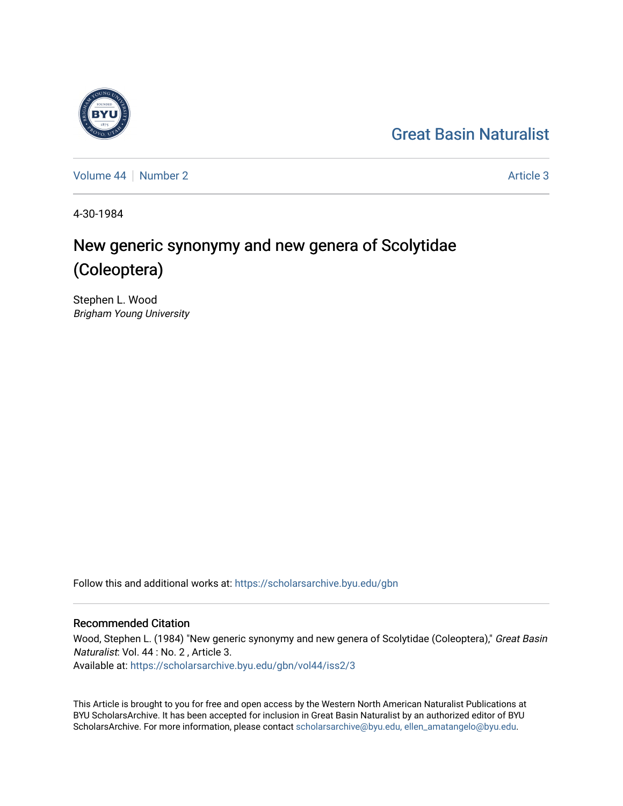## [Great Basin Naturalist](https://scholarsarchive.byu.edu/gbn)

[Volume 44](https://scholarsarchive.byu.edu/gbn/vol44) | [Number 2](https://scholarsarchive.byu.edu/gbn/vol44/iss2) Article 3

4-30-1984

# New generic synonymy and new genera of Scolytidae (Coleoptera)

Stephen L. Wood Brigham Young University

Follow this and additional works at: [https://scholarsarchive.byu.edu/gbn](https://scholarsarchive.byu.edu/gbn?utm_source=scholarsarchive.byu.edu%2Fgbn%2Fvol44%2Fiss2%2F3&utm_medium=PDF&utm_campaign=PDFCoverPages) 

### Recommended Citation

Wood, Stephen L. (1984) "New generic synonymy and new genera of Scolytidae (Coleoptera)," Great Basin Naturalist: Vol. 44 : No. 2 , Article 3. Available at: [https://scholarsarchive.byu.edu/gbn/vol44/iss2/3](https://scholarsarchive.byu.edu/gbn/vol44/iss2/3?utm_source=scholarsarchive.byu.edu%2Fgbn%2Fvol44%2Fiss2%2F3&utm_medium=PDF&utm_campaign=PDFCoverPages)

This Article is brought to you for free and open access by the Western North American Naturalist Publications at BYU ScholarsArchive. It has been accepted for inclusion in Great Basin Naturalist by an authorized editor of BYU ScholarsArchive. For more information, please contact [scholarsarchive@byu.edu, ellen\\_amatangelo@byu.edu.](mailto:scholarsarchive@byu.edu,%20ellen_amatangelo@byu.edu)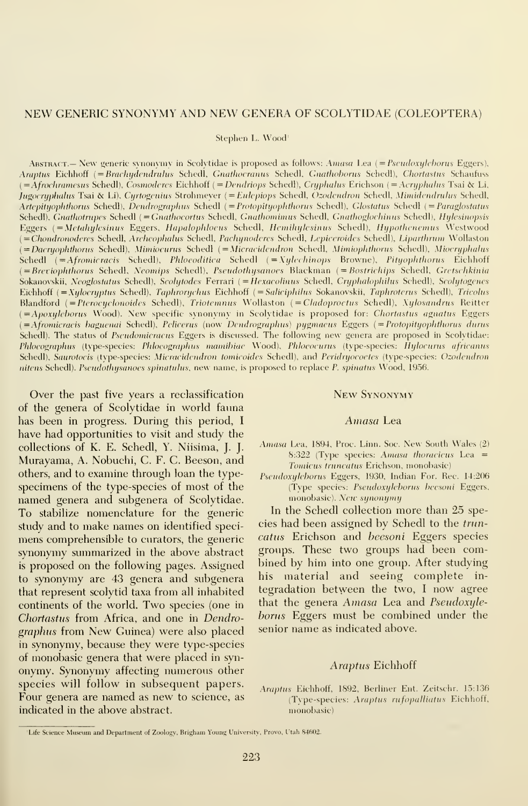#### NEW GENERIC SYNONYMY AND NEW GENERA OF SCOLYTIDAE (COLEOPTERA)

Stephen L. Wood'

ABSTRACT.— New generic svnonymv in Scolytidae is proposed as follows: Amasa Lea (= Pscudoxylchorus Eggers), Araptus Eichhoff (=Brachydendrulus Schedl, Gnathocranus Schedl, Gnathoborus Schedl), Chortastus Schaufuss  $(=\hat{A}frochramesus Schedl), \textit{Cosmoderes}$  Eichhoff  $(=\textit{Dendriops}$  Schedl), Cryphalus Erichson  $(=\textit{Acryphalus}$  Tsai & Li, Jugocryphalus Tsai & Li), Cyrtogenius Strohmever (= Eulepiops Schedl, Ozodendron Schedl, Mimidendrulus Schedl, Artepityophthorus Schedl), Dendrographus Schedl (= Protopityophthorus Schedl), Glostatus Schedl (= Paraglostatus Schedl), Gnathotrupes Schedl (=Gnathocortus Schedl, Gnathomimus Schedl, Gnathoglochinus Schedl), Hylesinopsis Eggers (= Metahylesinus Eggers, Hapalophloeus Schedl, Hemihylesinus Schedl), Hypothenemus Westwood (= Chondronoderes Schedl, Archeophalus Schedl, Pachynoderes Schedl, Lepiceroides Schedl), Liparthrum Wollaston (= Dacryophthorus Schedl), Mimiocurus Schedl (= Micracidendron Schedl, Mimiophthorus Schedl), Miocryphalus Schedl ( $=A$ fromicracis Schedl), Phloeoditica Schedl ( $=X$ ylechinops Browne), Pityophthorus Eichhoff (=Breviophthorus Schedl, Neomips Schedl), Pseudothysanoes Blackman (=Bostrichips Schedl, Gretschkinia Sokanovskii, Neoglostatus Schedl), Scolytodes Ferrari (= Hexacolinus Schedl, Cryphalophilus Schedl), Scolytogenes Eichhoff (=Xylocryptus Schedl), Taphrorychus Eichhoff (=Saliciphilus Sokanovskii, Taphroterus Schedl), Tricolus Blandford { = Ptcrocyclonoidcs Schedl), Triotemntis Wollaston ( = Cladopiocius Schedl), Xylosandrus Reitter (=Apoxyleborus Wood). New specific synonymy in Scolytidae is proposed for: Chortastus agnatus Eggers (=Afromicracis baguenai Schedl), Pelicerus (now Dendrographus) pygmaeus Eggers (=Protopityophthorus durus Schedl). The status of Pscudomicracus Eggers is discussed. The following new genera are proposed in Scolytidae: Phlocographus (type-species: Phlocographus mamibiae Wood), Phloeocurus (type-species: Hylocurus africanus Schedl), Saurotocis (type-species: Micracidendron tomicoides Schedl), and Peridryocoetes (type-species: Ozodendron nitens Schedl). Pseudothysanoes spinatulus, new name, is proposed to replace P. spinatus Wood, 1956.

Over the past five years a reclassification of the genera of Scolytidae in world fauna has been in progress. During this period, <sup>I</sup> have had opportunities to visit and study the collections of K. E. Schedl, Y. Niisima, J. J. Murayama, A. Nobuchi, C. F. C. Beeson, and others, and to examine through loan the typespecimens of the type-species of most of the named genera and subgenera of Scolytidae. To stabilize nomenclature for the generic study and to make names on identified speci mens comprehensible to curators, the generic synonymy summarized in the above abstract is proposed on the following pages. Assigned to synonymy are 43 genera and subgenera that represent scolytid taxa from all inhabited continents of the world. Two species (one in Chortastus from Africa, and one in Dendrographus from New Guinea) were also placed in synonymy, because they were type-species of monobasic genera that were placed in syn onymy. Synonymy affecting numerous other species will follow in subsequent papers. Four genera are named as new to science, as indicated in the above abstract.

#### New Synonymy

#### Amasa Lea

- Amasa Lea, 1894, Proc. Linn. Soc. New South Wales (2) 8:322 (Type species: Amasa thoracicus Lea  $=$ Tomicus truncatus Erichson, monobasic)
- Pseudoxyleborus Eggers, 1930, Indian For. Rec. 14:206 (Type species: Pseudoxyleborus beesoni Eggers, monobasic). New synonymy

In the Schedl collection more than 25 species had been assigned by Schedl to the trun catus Erichson and heesoni Eggers species groups. These two groups had been combined by him into one group. After studying his material and seeing complete in tegradation between the two, <sup>I</sup> now agree that the genera Amasa Lea and Pseudoxyleborus Eggers must be combined under the senior name as indicated above.

#### Araptus Eichhoff

Araptus Eichhoff, 1892. Berliner Ent. Zeitschr. 15:136 (Tvpe-species: Araptus rufopalliatus Eichhoff, monobasic)

<sup>&#</sup>x27;Life Science Museum and Department of Zoology, Brigham Young University, Provo, Utah 84602.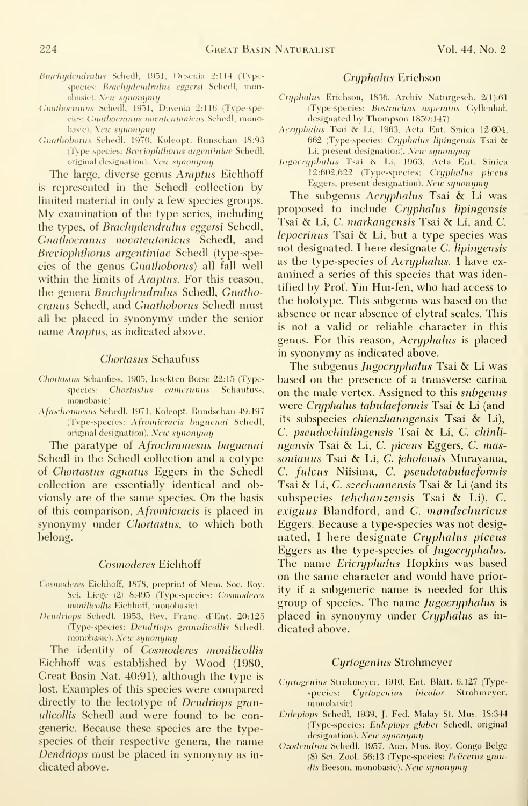- Brachydendrulus Schedl, 1951, Dusenia 2:114 (Typespecies: Brachydendrulus eggersi Schedl, monobasic). New synonymy
- Gnathocranus Schedl, 1951, Dusenia 2:116 (Type-species: Gnathocranus novateutonicus Schedl, monobasic). New synonymy
- Gnathoborus Schedl, 1970, Koleopt. Runschau 48:93 (Type-species: Breviophthorus argentiniae Schedl, original designation). New synonymy

The large, diverse genus Araptus Eichhoff is represented in the Schedl collection by limited material in only a few species groups. My examination of the type series, including the types, of Brachydendrulus eggersi Schedl, Gnathocranus novateutonicus Schedl, and Breviophthorus argentiniae Schedl (type-species of the genus Gnathoborus) all fall well within the limits of *Araptus*. For this reason, the genera *Brachydendrulus* Schedl, Gnathocranus Schedl, and Gnathoborus Schedl must all be placed in synonymy under the senior name Araptus, as indicated above.

#### Chortasus Schaufuss

- Chortastus Schaufuss, 1905, Insekten Borse 22:15 (Typespecies: Chortastus camerunus Schaufuss, monobasic)
- Afrochramesus Schedl, 1971. Koleopt. Rundschau 49:197 (Type-species: Afromicracis baguenai Schedl, original designation). New synonymy

The paratype of Afrochramesus baguenai Schedl in the Schedl collection and a cotype of Chortastus agnatus Eggers in the Schedl collection are essentially identical and obviously are of the same species. On the basis of this comparison, *Afromicracis* is placed in synonymy under Chortastus, to which both belong.

#### Cosmoderes Eichhoff

- Cosmoderes Eichhoff, 1878, preprint of Mem. Soc. Roy. Sci. Liege (2) 8:495 (Type-species: Cosmoderes monilicollis Eichhoff, monobasic)
- Dendriops Schedl, 1953, Rev. Franc. d'Ent. 20:125 (Type-species: Dendriops granulicollis Schedl. monobasic). New synonymy

The identity of Cosmoderes monilicollis Eichhoff was established by Wood (1980, Great Basin Nat. 40:91), although the type is lost. Examples of this species were compared directly to the lectotype of *Dendriops* granulicollis Schedl and were found to be congeneric. Because these species are the typespecies of their respective genera, the name Dendriops must be placed in synonymy as in dicated above.

#### Cryphalus Erichson

- Cryphalus Erichson, 1836, Archiv Naturgesch. 2(1):61 (Tvpe-species: Bostruchus asperatus Gvllenhal, designated by Thompson 1859:147)
- Acri/phalus Tsai &' Li, 1963, Acta Ent. Sinica 12:604, 662 (Type-species: Cryphalus lipingensis Tsai & Li, present designation). New synonymy
- Jugocryphalus Tsai & Li, 1963, Acta Ent. Sinica 12:602,622 (Type-species: Cryphalus piceus Eggers, present designation). New synonymy

The subgenus Acryphalus Tsai & Li was proposed to include Cryphalus lipingensis Tsai & Li, C. markangensis Tsai & Li, and C. lepocrinus Tsai & Li, but <sup>a</sup> type species was not designated. <sup>I</sup> here designate C. lipingensis as the type-species of Acryphalus. I have examined a series of this species that was identified by Prof. Yin Hui-fen, who had access to the holotype. This subgenus was based on the absence or near absence of elytral scales. This is not a valid or reliable character in this genus. For this reason, Acryphahis is placed in synonymy as indicated above.

The subgenus Jugocryphalus Tsai & Li was based on the presence of a transverse carina on the male vertex. Assigned to this subgenus were Cryphalus tabulaeformis Tsai & Li (and its subspecies *chienzhaungensis* Tsai & Li), C. pseudochinlingensis Tsai & Li, C. chinli ngensis Tsai & Li, C. piceus Eggers, C. massonianus Tsai & Li, C. jeholensis Murayama, C. fulvus Niisima, C. pseudotabulaeformis Tsai & Li, C. szechuanensis Tsai & Li (and its subspecies tehchanzensis Tsai & Li), C. exiguus Blandford, and C. mandschuricus Eggers. Because a type-species was not designated, I here designate Cryphalus piceus Eggers as the type-species of Jugocryphahis. The name *Ericryphalus* Hopkins was based on the same character and would have priority if a subgeneric name is needed for this group of species. The name Jugocryphahis is placed in synonymy under Cryphalus as in dicated above.

#### Cyrtogenius Strohmeyer

- Cyrtogenius Strohmeyer, 1910, Ent. Blätt. 6:127 (Typespecies: Cyrtogenius bicolor Strohmeyer, monobasic)
- Euh'piops Schedl, 1939, J. Fed. Malay St. Mus. 18:344 (Type-species: Eulepiops glaber Schedl, original designation). New synonymy
- Ozodendron Schedl, 1957, Ann. Mus. Roy. Congo Beige (8) Sci. Zool. 56:13 (Type-species: Fehccrus grandis Beeson, monobasic). New synonymy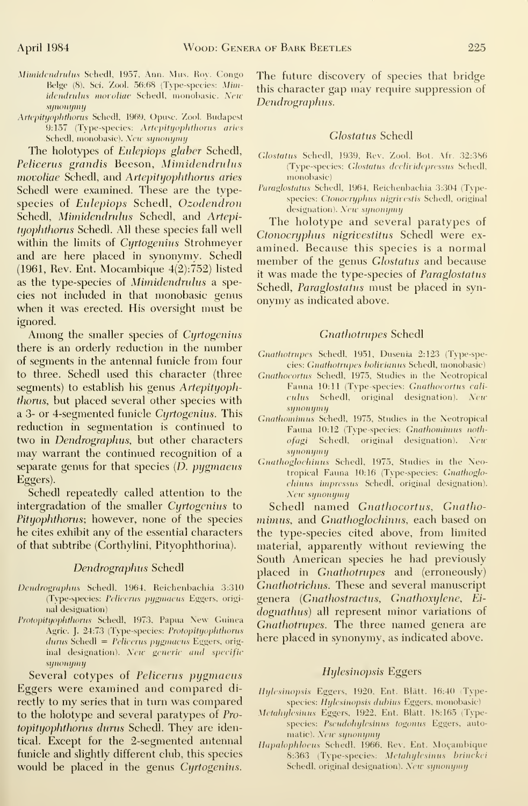- Mimidendrulus Schedl, 1957, Ann. Mus. Roy. Congo Belge (8), Sci. Zool. 56:68 (Type-species: Mimidendrulus movoliae Schedl, monobasic. New synonymy
- Artepityophthorus Schedl, 1969, Opuse. Zool. Budapest 9:157 (Type-species: Artepityophthorus aries Schedl, monobasic). New synonymy

The holotypes of *Eulepiops glaber* Schedl, Pelicerus grandis Beeson, Mimidendrulus movoliae Schedl, and Artepityophthorus aries Schedl were examined. These are the typespecies of Eulepiops Schedl, Ozodendron Schedl, Mimidendrulus Schedl, and Artepityophthorus Schedl. All these species fall well within the limits of *Cyrtogenius* Strohmeyer and are here placed in synonymy. Schedl (1961, Rev. Ent. Mocambique 4(2):752) listed as the type-species of Mimidendrulus a species not included in that monobasic genus when it was erected. His oversight must be ignored.

Among the smaller species of Cyrtogenius there is an orderly reduction in the number of segments in the antennal funicle from four to three. Schedl used this character (three segments) to establish his genus Artepityoph*thorus*, but placed several other species with a 3- or 4-segmented funicle Cyrtogenius. This reduction in segmentation is continued to two in Dendrographus, but other characters may warrant the continued recognition of a separate genus for that species  $(D.$  pygmaeus Eggers).

Schedl repeatedly called attention to the intergradation of the smaller Cyrtogenius to Pityophthorus; however, none of the species he cites exhibit any of the essential characters of that subtribe (Corthylini, Pityophthorina).

#### Dendrographus Schedl

- Dendrograplius Schedl, 1964, Reichenbachia 3:310 (Type-species: Pelicerus pygmaeus Eggers, original designation)
- Protopityophthorus Schedl, 1973, Papua New Guinea Agric. J. 24:73 (Type-species: Protopityophthorus  $durus$  Schedl = Pelicerus pygmaeus Eggers, original designation). New generic and specific sijnonijmy

Several cotypes of Pelicerus pygmaeus Eggers were examined and compared di rectly to my series that in turn was compared to the holotype and several paratypes of Pro topityophthorus durus Schedl. They are identical. Except for the 2-segmented antennal fimicle and slightly different club, this species would be placed in the genus Cyrtogenius.

The future discovery of species that bridge this character gap may require suppression of Dendrograplius.

#### Glostatus Schedl

- Glostatus Schedl, 1939, Rev. Zool. Bot. Afr. 32:386 (Type-species: Glostatus declividepressus Schedl, monobasic)
- Paraglostatus Schedl, 1964, Reichenbachia 3:304 (Typespecies: Ctonocryphus nigrivestis Schedl, original designation). New synonymy

The holotype and several paratypes of Ctonocryphus nigrivestitus Schedl were ex amined. Because this species is a normal member of the genus *Glostatus* and because it was made the type-species of Paraglostatus Schedl, *Paraglostatus* must be placed in synonvmv as indicated above.

#### Gnathotrupes Schedl

- Gnathotrupes Schedl, 1951, Dusenia 2:123 (Type-species: Gnathotrupes bolivianus Schedl, monobasic)
- Gnathocortus Schedl, 1975, Studies in the Neotropical Fauna 10:11 (Tvpe-species: Gnathocortus eali culus Schedl, original designation). New sijnonijmij
- Gnathomimus Schedl, 1975, Studies in the Neotropical Fauna 10:12 (Type-species: Gnathonimus noth $of agi$  Schedl, original designation). New synonipniy
- Gnathoglochinus Schedl, 1975, Studies in the Neotropical Fauna 10:16 (Type-species: Gnathoglochinus impressus Schedl, original designation). New synonymy

Schedl named Gnathocortus, Gnathomimus, and Gnathoglochinus, each based on the type-species cited above, from limited material, apparently without reviewing the South American species he had previously placed in Gnathotrupes and (erroneously) Gnathotrichus. These and several manuscript genera {Gnatliostractus, Gnathoxylene, Ei dognathus) all represent minor variations of Gnathotrupes. The three named genera are here placed in synonymy, as indicated above.

#### Hylesinopsis Eggers

Hylcsinopsis Eggers, 1920, Ent. Blatt. 16:40 (Typespecies: Hylesinopsis dubius Eggers, monobasic)

- Metahylesinus Eggers, 1922, Ent. Blätt. 18:165 (Typespecies: Pseudohylesinus togonus Eggers, automatic). New synonymy
- Hapalophloeus Schedl, 1966, Rev. Ent. Moçambique 8:363 (Type-species: Metalujlesinus brinckei Schedl, original designation). New synonymy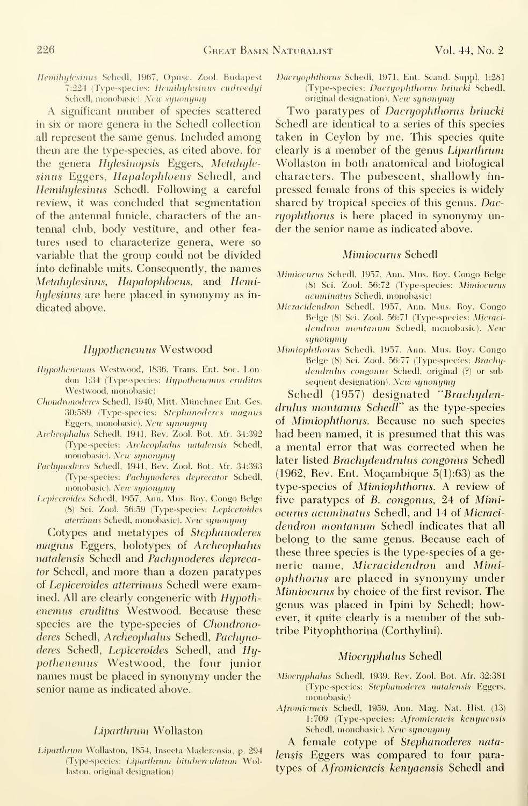Hemihylesinus Schedl, 1967, Opuse. Zool. Budapest 7:224 (Type-species: Hemihylesinus endroedyi Schedl, monobasic). New synonymy

A significant number of species scattered in six or more genera in the Schedl collection all represent the same genus. Included among them are the type-species, as cited above, for the genera Hylesinopsis Eggers, Metahylesinus Eggers, Hapalophloeus Schedl, and Hemihylesinus Schedl. Following a careful review, it was concluded that segmentation of the antennal funicle, characters of the antennal club, body vestiture, and other fea tures used to characterize genera, were so variable that the group could not be divided into definable units. Consequently, the names Metahylesinus, Hapalophloeus, and Hemihylesinus are here placed in synonymy as indicated above.

#### Hypothenemus Westwood

- Hypothenemus Westwood, 1836, Trans. Ent. Soc. London 1:34 (Type-species: Hypothenemus- eruditus-Westwood. monobasic)
- Chondronoderes Schedl, 1940, Mitt. Münchner Ent. Ges. 30:589 (Type-species: Stephanoderes magnus Eggers, monobasic). New synonymy
- Archeophalus Schedl, 1941, Rev. Zool. Bot. Afr. 34:392 (Tvpe-species: Archeophalus natidensis Schedl, monobasic). New synonymy
- Pachynoderes Schedl, 1941, Rev. Zool. Bot. Afr. 34:393 (Type-species: Pachynoderes deprecator Schedl, monobasic). New synonymy
- Lepiceroides Schedl, 1957, Ann. Mus. Roy. Congo Belge (8) Sci. Zool. 56:59 (Type-species: Lepiceroides aterrimus Schedl, monobasic). New synonymy

Cotypes and metatypes of Stephanoderes magnus Eggers, holotypes of Archeophalus natalensis Schedl and Pachynoderes deprecator Schedl, and more than a dozen paratypes of Lepiceroides atterrimus Schedl were examined. All are clearly congeneric with Hypothenemus eruditus Westwood. Because these species are the type-species of *Chondrono*deres Schedl, Archeophalus Schedl, Pachynoderes Schedl, Lepiceroides Schedl, and Hypothenemus Westwood, the four junior names must be placed in synonymy under the senior name as indicated above.

#### Liparthrum Wollaston

Liparthrum Wollaston, 1854, Insecta Maderensia, p. 294 (Type-species: Liparthrum bituberculatum Wollaston, original designation)

Dacryophthorus Schedl, 1971, Ent. Scand. Suppl. 1:281 (Type-species: Dacryophthorus brincki Schedl, original designation). New synonymy

Two paratypes of Dacryophthorus brincki Schedl are identical to a series of this species taken in Ceylon by me. This species quite clearly is a member of the genus Liparthrum Wollaston in both anatomical and biological characters. The pubescent, shallowly impressed female frons of this species is widely shared by tropical species of this genus. Dacryophthorus is here placed in synonymy un der the senior name as indicated above.

#### Mimiocurus Schedl

- Mimiocurus Schedl, 1957, Ann. Mus. Roy. Congo Belge (8) Sci. Zool. 56:72 (Type-species: Mimiocurus acuminatus Schedl, monobasic)
- Micracidendron Schedl, 1957, Ann. Mus. Roy. Congo Beige (8) Sci. Zool. 56:71 (Type-species: Micraci dendron montanum Schedl, monobasic). New synonymy
- Mimiophthorus Schedl, 1957, Ann. Mus. Roy. Congo Beige (8) Sci. Zool. 56:77 (Type-species: Brachydendrulus congonus Schedl, original (?) or subsequent designation). New synonymy

Schedl (1957) designated ''Brachydendrulus montanus Schedl" as the type-species of Mimiophthorus. Because no such species had been named, it is presumed that this was a mental error that was corrected when he later listed Brachydendrulus congonus Schedl (1962, Rev. Ent. Moçambique  $5(1):63$ ) as the type-species of Mimiophthorus. A review of five paratypes of B. congonus, 24 of Mimiocurus acuminatus Schedl, and 14 of Micracidendron montanum Schedl indicates that all belong to the same genus. Because each of these three species is the type-species of a ge neric name, Micracidendron and Mimiophthorus are placed in synonymy under Mimiocurus by choice of the first revisor. The genus was placed in Ipini by Schedl; however, it quite clearly is a member of the subtribe Pityophthorina (Corthylini).

#### Miocryphalus Schedl

- Mioeryphahis Schedl, 1939, Rev. Zool. Bot. Afr. 32:381 (Tvpe-species: Stephanoderes natalensis Eggers, monobasic)
- Afromicracis Schedl, 1959, Ann. Mag. Nat. Hist. (13) 1:709 (Type-species: Afromicracis kenyaensis Schedl, monobasic). New synonymy

A female cotype of Stephanoderes natalensis Eggers was compared to four para types of Afromicracis kenyaensis Schedl and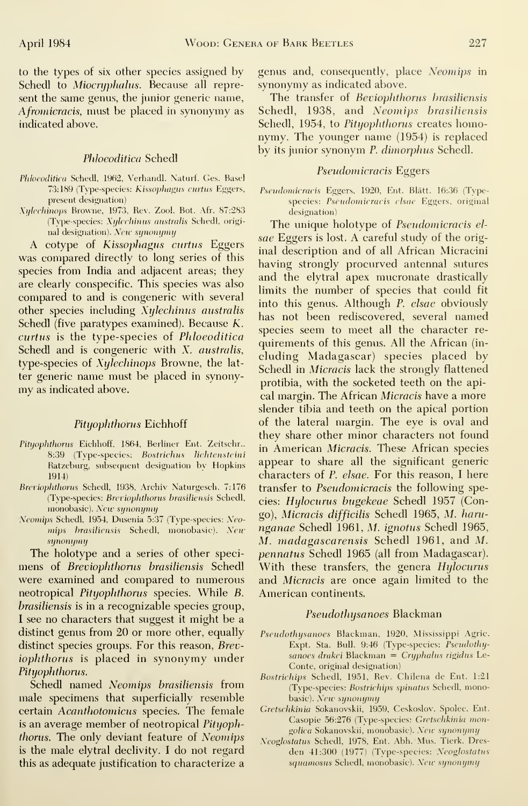to the types of six other species assigned by Schedl to Miocryphalus. Because all represent the same genus, the junior generic name, Afromicracis, must be placed in synonymy as indicated above.

#### Phloeoditica Schedl

- Phloeoditica Schedl, 1962, Verhandl. Naturf. Ges. Basel 73:189 (Type-species: Kissophagus curtus Eggers, present designation)
- Xylechinops Browne, 1973, Rev. Zool. Bot. Afr. 87:283 (Type-species: Xylechinus australis Schedl, original designation). New synonymy

A cotype of Kissophogus curtus Eggers was compared directly to long series of this species from India and adjacent areas; they are clearly conspecific. This species was also compared to and is congeneric with several other species including Xylechinus australis Schedl (five paratypes examined). Because K. curtus is the type-species of Phloeoditica Schedl and is congeneric with X. australis, type-species of Xylechinops Browne, the lat ter generic name must be placed in synony my as indicated above.

#### Pityophthorus Eichhoff

- Pityophthorus Eichhoff, 1864, Berliner Ent. Zeitschr.. 8:39 (Type-species: Bostrichus lichtensteini Ratzeburg, subsequent designation by Hopkins 1914)
- Breviophthorus Schedl, 1938, Archiv Naturgesch. 7:176 (Type-species: Breviophthorus brasiliensis Schedl, monobasic). New synonymy
- Neomips Schedl, 1954, Dusenia 5:37 (Type-species: Neomips brasiliensis Schedl, monobasic). New synonymy

The holotype and a series of other speci mens of Breviophthorus brasiliensis Schedl were examined and compared to numerous neotropical Pityophthorus species. While B. brasiliensis is in a recognizable species group, <sup>I</sup> see no characters that suggest it might be a distinct genus from 20 or more other, equally distinct species groups. For this reason, Breviophthorus is placed in synonymy under Pityophthorus.

Schedl named Neomips brasiliensis from male specimens that superficially resemble certain Acanthotomicus species. The female is an average member of neotropical Pityophthorus. The only deviant feature of Neomips is the male elytral declivity. <sup>I</sup> do not regard this as adequate justification to characterize a genus and, consequently, place Neomips in synonymy as indicated above.

The transfer of Beviophthorus brasiliensis Schedl, 1938, and Neomips brasiliensis Schedl, 1954, to Pityophthorus creates homonymy. The younger name (1954) is replaced by its junior synonym P. dimorphus Schedl.

#### Pseudomicracis Eggers

Pscudomicracis Eggers, 1920, Ent. Blatt. 16:36 (Typespecies: Pseudomicracis clsue Eggers, original designation)

The unique holotype of Pseudomicracis elsae Eggers is lost. A careful study of the original description and of all African Micracini having strongly procurved antennal sutures and the elytral apex mucronate drastically limits the number of species that could fit into this genus. Although P. elsae obviously has not been rediscovered, several named species seem to meet all the character re quirements of this genus. All the African (in cluding Madagascar) species placed by Schedl in Micracis lack the strongly flattened protibia, with the socketed teeth on the apical margin. The African Micracis have a more slender tibia and teeth on the apical portion of the lateral margin. The eye is oval and they share other minor characters not found in American Micracis. These African species appear to share all the significant generic characters of P. elsae. For this reason, <sup>I</sup> here transfer to Pseudomicracis the following species: Hylocurus bugekeae Schedl 1957 (Congo), Micracis difficilis Schedl 1965, M. harunganae Schedl 1961, M. ignotus Schedl 1965, M. madagascarensis Schedl 1961, and M. pennatus Schedl 1965 (all from Madagascar). With these transfers, the genera Hylocurus and Micracis are once again limited to the American continents.

#### Pseudothysanoes Blackman

- Pseudothysanoes Blackman, 1920, Mississippi Agric. Expt. Sta. Bull. 9:46 (Type-species: Pseudothysanoes drakei Blackman = Cryphalus rigidus Le- Conte, original designation)
- Bostrichips Schedl, 1951, Rev. Chilena de Ent. 1:21 (Type-species: Bostrichips spinatus Schedl, monobasic). New synonymy
- Gretschkinia Sokanovskii, 1959, Ceskoslov. Spolec. Ent. Casopie 56:276 (Type-species: Gretschkinia mongolica Sokanovskii, monobasic). New synonymy
- Neoglostatus Schedl, 1978, Ent. Abh. Mus. Tierk. Dresden 41:300 (1977) (Type-species: Neoglostatus squamosus Schedl, monobasic). New synonymy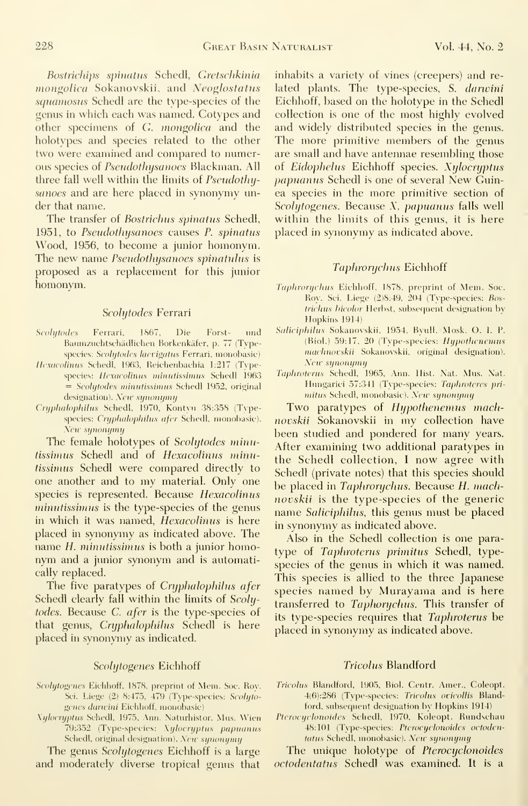Bostrichips spinatus Schedl, Gretschkinia mongolica Sokanovskii, and Neoglostatus squamosus Schedl are the type-species of the genus in which each was named. Cotypes and other specimens of G. mongolica and the holotypes and species related to the other two were examined and compared to numerous species of Pseudothysanoes Blackman. All three fall well within the limits of Pseudothysanoes and are here placed in synonymy under that name.

The transfer of Bostrichus spinatus Schedl, 1951, to Pseudothysanoes causes P. spinatus Wood, 1956, to become a junior homonym. The new name Pseudothysanoes spinatulus is proposed as a replacement for this junior homonym.

#### Scolytodes Ferrari

- Scolytodes Ferrari, 1867, Die Forst- und Baumzuchtschädlichen Borkenkäfer, p. 77 (Typespecies: Scolytodes laevigatus Ferrari, monobasic)
- Hexacolinus Schedl, 1963, Reichenbachia 1:217 (Typespecies: Hexacolinus minutissimus Schedl 1963 = Scolytodes minutissimus Schedl 1952, original designation). New synonymy
- Cryphalophilus Schedl, 1970, Kontvu 38:358 (Tvpespecies: Cryphalophilus afer Schedl, monobasic). New synonymy

The female holotypes of Scolytodes minutissimus Schedl and of Hexacolinus minutissimus Schedl were compared directly to one another and to my material. Only one species is represented. Because Hexacolinus minutissimus is the type-species of the genus in which it was named, Hexacolinus is here placed in synonymy as indicated above. The name H. minutissimus is both a junior homonym and a junior synonym and is automatically replaced.

The five paratypes of Cryphalophilus afer Schedl clearly fall within the limits of Scolytodes. Because C. afer is the type-species of that genus, Cryphalophilus Schedl is here placed in synonymy as indicated.

#### Scolytogenes Eichhoff

- Scolytogenes Eichhoff, 1878, preprint of Mem. Soc. Roy. Sci. Liege (2) 8:475, 479 (Type-species: Scolytogenes darwini Eichhoff, monobasic)
- Xylocryptus Schedl, 1975, Ann. Naturhistor. Mus. Wien 79:352 (Type-species: Xylocryptus papuanus Schedl, original designation). New synonymy

The genus Scolytogenes Eichhoff is a large and moderately diverse tropical genus that inhabits a variety of vines (creepers) and re lated plants. The type-species, S. darwini Eichhoff, based on the holotype in the Schedl collection is one of the most highly evolved and widely distributed species in the genus. The more primitive members of the genus are small and have antennae resembling those of Eidophelus Eichhoff species. Xylocryptus papuanus Schedl is one of several New Guinea species in the more primitive section of Scolytogenes. Because X. papuanus falls well within the limits of this genus, it is here placed in synonymy as indicated above.

#### Taphrorychus Eichhoff

- Taphrorychus Eichhoff, 1878, preprint of Mem. Soc. Roy. Sci. Liege (2)8:49, 204 (Type-species: Bostrichus bicolor Herbst, subsequent designation by Hopkins 1914)
- Saliciphilus Sokanovskii, 1954, Byull. Mosk. O. I. P. (Biol.) 59:17, 20 (Type-species: Hypothenemus machnovskii Sokanovskii, original designation). New synonymy
- Taphrotcrus Schedl, 1965, Ann. Hist. Nat. Mns. Nat. Hungarici 57:341 (Type-species: Taphroteres primitus Schedl, monobasic). New synonymy

Two paratypes of Hypothenemus machnovskii Sokanovskii in my collection have been studied and pondered for many years. After examining two additional paratypes in the Schedl collection, <sup>I</sup> now agree with Schedl (private notes) that this species should be placed in Taphrorychus. Because H. machnovskii is the type-species of the generic name Saliciphilus, this genus must be placed in synonymy as indicated above.

Also in the Schedl collection is one para type of Taphroterus primitus Schedl, typespecies of the genus in which it was named. This species is allied to the three Japanese species named by Murayama and is here transferred to Taphorychus. This transfer of its type-species requires that Taphroterus be placed in synonymy as indicated above.

#### Tricolus Blandford

- Trieolus Blandford, 1905, Biol. Centr. Amer., Coieopt. 4(6):286 (Type-species: Tricolus ovicollis Blandford, snbsequent designation by Hopkins 1914)
- Pterocyclonoides Schedl, 1970, Koleopt. Rundschau 48:101 (Type-species: Pterocyclonoides octodentatus Schedl, monobasic). New synonymy

The unique holotype of Pterocyclonoides octodentatus Schedl was examined. It is a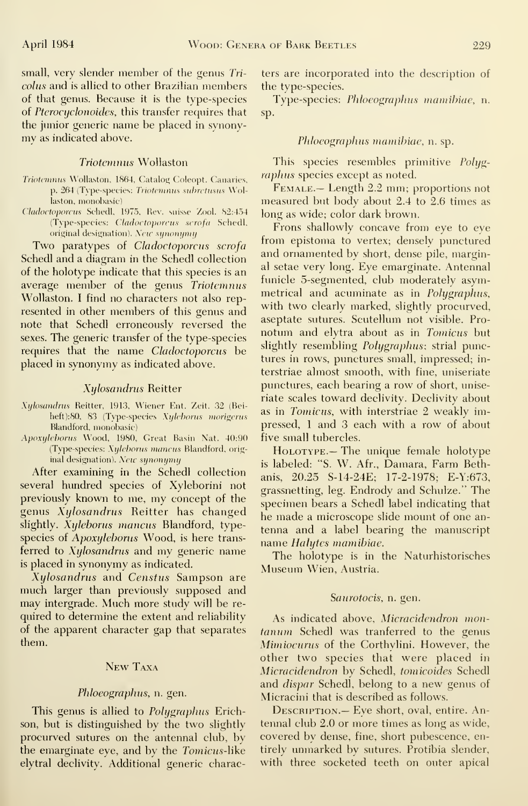small, very slender member of the genus Tri colus and is allied to other Brazilian members of that genus. Because it is the type-species of Pterocyclonoides, this transfer requires that the junior generic name be placed in synonymy as indicated above.

#### Triotemnus Wollaston

- Triotemnus Wollaston, 1864, Catalog Coleopt. Canaries, p. 264 (Type-species: Triotemnus subretusus Wollaston, monobasic)
- Cladoctoporcus Schedl, 1975, Rev. suisse Zool. 82:454 (Type-species: Cladoctoporcus scrofa Schedl, original designation). New  $support$

Two paratypes of Cladoctoporcus scrofa Schedl and a diagram in the Schedl collection of the holotype indicate that this species is an average member of the genus Triotemnus Wollaston. I find no characters not also represented in other members of this genus and note that Schedl erroneously reversed the sexes. The generic transfer of the type-species requires that the name Cladoctoporcus be placed in synonymy as indicated above.

#### Xijlosandrus Reitter

- Xylosandrus Reitter, 1913, Wiener Ent. Zeit. 32 (Beiheft):80, 83 (Type-species Xyleborus morigerus Blandford, monobasic)
- Apoxyleborus Wood, 1980, Great Basin Nat. 40:90 (Type-species: Xyleborus mancus Blandford, original designation). New synonymy

After examining in the Schedl collection several hundred species of Xyleborini not previously known to me, my concept of the genus Xijlosandrus Reitter has changed slightly. Xyleborus mancus Blandford, typespecies of Apoxyleborus Wood, is here transferred to Xylosandrus and my generic name is placed in synonymy as indicated.

Xylosandrus and Censtus Sampson are much larger than previously supposed and may intergrade. Much more study will be re quired to determine the extent and reliability of the apparent character gap that separates them.

#### New Taxa

#### Phloeographus, n. gen.

This genus is allied to *Polygraphus* Erichson, but is distinguished by the two slightly procurved sutures on the antennal club, by the emarginate eye, and by the Tomicus-like elytral declivity. Additional generic charac-

ters are incorporated into the description of the type-species.

Type-species: Phloeographus mamibiae, n. sp.

#### Phloeographus mamibiae, n. sp.

This species resembles primitive Polygraphus species except as noted.

Female.— Length 2.2 mm; proportions not measured but body about 2.4 to 2.6 times as long as wide; color dark brown.

Frons shallowly concave from eye to eye from epistoma to vertex; denselv punctured and ornamented by short, dense pile, marginal setae very long. Eye emarginate. Antennal funicle 5-segmented, club moderately asymmetrical and acuminate as in Polygraphus, with two clearly marked, slightly procurved, aseptate sutures. Scutellum not visible. Pro notum and elytra about as in Tomicus but slightly resembling Polygraphus; strial punctures in rows, punctures small, impressed; in terstriae almost smooth, with fine, uniseriate punctures, each bearing a row of short, uniseriate scales toward declivity. Declivity about as in Tomicus, with interstriae 2 weakly impressed, <sup>1</sup> and 3 each with a row of about five small tubercles.

Holotype.— The unique female holotype is labeled: "S. W. Afr., Damara, Farm Bethanis, 20.25 S-14-24E; 17-2-1978; E-Y:673, grassnetting, leg. Endrody and Schulze." The specimen bears a Schedl label indicating that he made a microscope slide mount of one antenna and a label bearing the manuscript name Halytes mamibiae.

The holotype is in the Naturhistorisches Museum Wien, Austria.

#### Saurotocis, n. gen.

As indicated above, Micracidendron mon tanum Schedl was tranferred to the genus Mimiocurus of the Corthylini. However, the other two species that were placed in Micracidendron by Schedl, tomicoides Schedl and *dispar* Schedl, belong to a new genus of Micracini that is described as follows.

DESCRIPTION.— Eye short, oval, entire. Antennal club 2.0 or more times as long as wide, covered bv dense, fine, short pubescence, entirely unmarked by sutures. Protibia slender, with three socketed teeth on outer apical